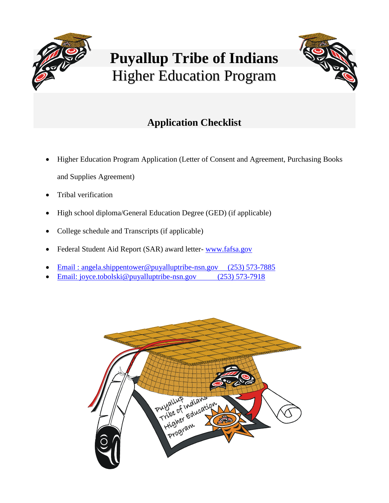

# **Puyallup Tribe of Indians** Higher Education Program



## **Application Checklist**

- Higher Education Program Application (Letter of Consent and Agreement, Purchasing Books and Supplies Agreement)
- Tribal verification
- High school diploma/General Education Degree (GED) (if applicable)
- College schedule and Transcripts (if applicable)
- Federal Student Aid Report (SAR) award letter- [www.fafsa.gov](http://www.fafsa.gov/)
- Email : [angela.shippentower@puyalluptribe-nsn.gov](mailto:angela.shippentower@puyalluptribe-nsn.gov) (253) 573-7885
- Email: [joyce.tobolski@puyalluptribe-nsn.gov](mailto:joyce.tobolski@puyalluptribe-nsn.gov) (253) 573-7918

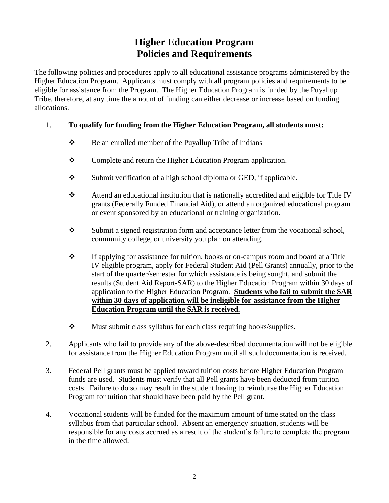## **Higher Education Program Policies and Requirements**

The following policies and procedures apply to all educational assistance programs administered by the Higher Education Program. Applicants must comply with all program policies and requirements to be eligible for assistance from the Program. The Higher Education Program is funded by the Puyallup Tribe, therefore, at any time the amount of funding can either decrease or increase based on funding allocations.

#### 1. **To qualify for funding from the Higher Education Program, all students must:**

- Be an enrolled member of the Puyallup Tribe of Indians
- \* Complete and return the Higher Education Program application.
- $\mathbf{\hat{S}}$  Submit verification of a high school diploma or GED, if applicable.
- Attend an educational institution that is nationally accredited and eligible for Title IV grants (Federally Funded Financial Aid), or attend an organized educational program or event sponsored by an educational or training organization.
- \* Submit a signed registration form and acceptance letter from the vocational school, community college, or university you plan on attending.
- If applying for assistance for tuition, books or on-campus room and board at a Title IV eligible program, apply for Federal Student Aid (Pell Grants) annually, prior to the start of the quarter/semester for which assistance is being sought, and submit the results (Student Aid Report-SAR) to the Higher Education Program within 30 days of application to the Higher Education Program. **Students who fail to submit the SAR within 30 days of application will be ineligible for assistance from the Higher Education Program until the SAR is received.**
- $\mathbf{\hat{\cdot}}$  Must submit class syllabus for each class requiring books/supplies.
- 2. Applicants who fail to provide any of the above-described documentation will not be eligible for assistance from the Higher Education Program until all such documentation is received.
- 3. Federal Pell grants must be applied toward tuition costs before Higher Education Program funds are used. Students must verify that all Pell grants have been deducted from tuition costs. Failure to do so may result in the student having to reimburse the Higher Education Program for tuition that should have been paid by the Pell grant.
- 4. Vocational students will be funded for the maximum amount of time stated on the class syllabus from that particular school. Absent an emergency situation, students will be responsible for any costs accrued as a result of the student's failure to complete the program in the time allowed.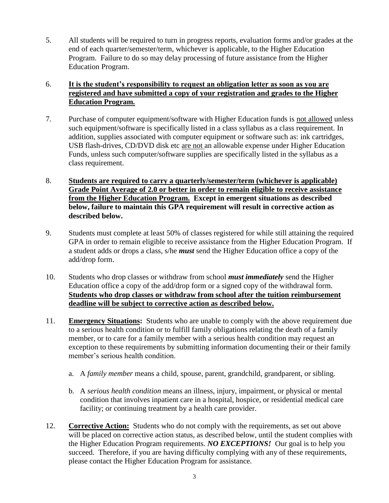5. All students will be required to turn in progress reports, evaluation forms and/or grades at the end of each quarter/semester/term, whichever is applicable, to the Higher Education Program. Failure to do so may delay processing of future assistance from the Higher Education Program.

#### 6. **It is the student's responsibility to request an obligation letter as soon as you are registered and have submitted a copy of your registration and grades to the Higher Education Program.**

- 7. Purchase of computer equipment/software with Higher Education funds is not allowed unless such equipment/software is specifically listed in a class syllabus as a class requirement. In addition, supplies associated with computer equipment or software such as: ink cartridges, USB flash-drives, CD/DVD disk etc are not an allowable expense under Higher Education Funds, unless such computer/software supplies are specifically listed in the syllabus as a class requirement.
- 8. **Students are required to carry a quarterly/semester/term (whichever is applicable) Grade Point Average of 2.0 or better in order to remain eligible to receive assistance from the Higher Education Program. Except in emergent situations as described below, failure to maintain this GPA requirement will result in corrective action as described below.**
- 9. Students must complete at least 50% of classes registered for while still attaining the required GPA in order to remain eligible to receive assistance from the Higher Education Program. If a student adds or drops a class, s/he *must* send the Higher Education office a copy of the add/drop form.
- 10. Students who drop classes or withdraw from school *must immediately* send the Higher Education office a copy of the add/drop form or a signed copy of the withdrawal form. **Students who drop classes or withdraw from school after the tuition reimbursement deadline will be subject to corrective action as described below.**
- 11. **Emergency Situations:** Students who are unable to comply with the above requirement due to a serious health condition or to fulfill family obligations relating the death of a family member, or to care for a family member with a serious health condition may request an exception to these requirements by submitting information documenting their or their family member's serious health condition.
	- a. A *family member* means a child, spouse, parent, grandchild, grandparent, or sibling.
	- b. A *serious health condition* means an illness, injury, impairment, or physical or mental condition that involves inpatient care in a hospital, hospice, or residential medical care facility; or continuing treatment by a health care provider.
- 12. **Corrective Action:** Students who do not comply with the requirements, as set out above will be placed on corrective action status, as described below, until the student complies with the Higher Education Program requirements. *NO EXCEPTIONS!* Our goal is to help you succeed. Therefore, if you are having difficulty complying with any of these requirements, please contact the Higher Education Program for assistance.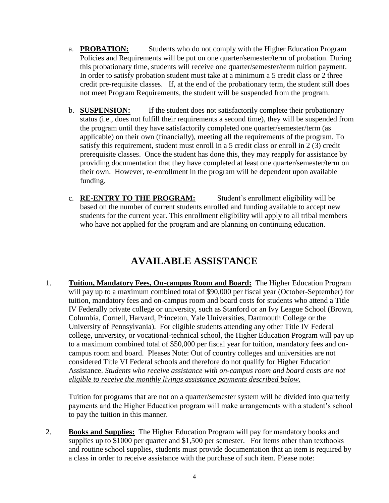- a. **PROBATION:** Students who do not comply with the Higher Education Program Policies and Requirements will be put on one quarter/semester/term of probation. During this probationary time, students will receive one quarter/semester/term tuition payment. In order to satisfy probation student must take at a minimum a 5 credit class or 2 three credit pre-requisite classes. If, at the end of the probationary term, the student still does not meet Program Requirements, the student will be suspended from the program.
- b. **SUSPENSION:** If the student does not satisfactorily complete their probationary status (i.e., does not fulfill their requirements a second time), they will be suspended from the program until they have satisfactorily completed one quarter/semester/term (as applicable) on their own (financially), meeting all the requirements of the program. To satisfy this requirement, student must enroll in a 5 credit class or enroll in 2 (3) credit prerequisite classes. Once the student has done this, they may reapply for assistance by providing documentation that they have completed at least one quarter/semester/term on their own. However, re-enrollment in the program will be dependent upon available funding.
- c. **RE-ENTRY TO THE PROGRAM:** Student's enrollment eligibility will be based on the number of current students enrolled and funding available to accept new students for the current year. This enrollment eligibility will apply to all tribal members who have not applied for the program and are planning on continuing education.

## **AVAILABLE ASSISTANCE**

1. **Tuition, Mandatory Fees, On-campus Room and Board:** The Higher Education Program will pay up to a maximum combined total of \$90,000 per fiscal year (October-September) for tuition, mandatory fees and on-campus room and board costs for students who attend a Title IV Federally private college or university, such as Stanford or an Ivy League School (Brown, Columbia, Cornell, Harvard, Princeton, Yale Universities, Dartmouth College or the University of Pennsylvania). For eligible students attending any other Title IV Federal college, university, or vocational-technical school, the Higher Education Program will pay up to a maximum combined total of \$50,000 per fiscal year for tuition, mandatory fees and oncampus room and board. Pleases Note: Out of country colleges and universities are not considered Title VI Federal schools and therefore do not qualify for Higher Education Assistance. *Students who receive assistance with on-campus room and board costs are not eligible to receive the monthly livings assistance payments described below.* 

Tuition for programs that are not on a quarter/semester system will be divided into quarterly payments and the Higher Education program will make arrangements with a student's school to pay the tuition in this manner.

2. **Books and Supplies:** The Higher Education Program will pay for mandatory books and supplies up to \$1000 per quarter and \$1,500 per semester. For items other than textbooks and routine school supplies, students must provide documentation that an item is required by a class in order to receive assistance with the purchase of such item. Please note: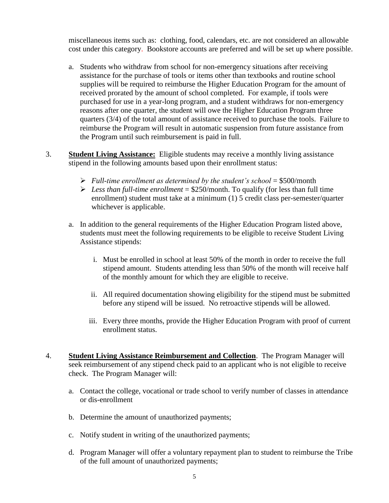miscellaneous items such as: clothing, food, calendars, etc. are not considered an allowable cost under this category. Bookstore accounts are preferred and will be set up where possible.

- a. Students who withdraw from school for non-emergency situations after receiving assistance for the purchase of tools or items other than textbooks and routine school supplies will be required to reimburse the Higher Education Program for the amount of received prorated by the amount of school completed. For example, if tools were purchased for use in a year-long program, and a student withdraws for non-emergency reasons after one quarter, the student will owe the Higher Education Program three quarters (3/4) of the total amount of assistance received to purchase the tools. Failure to reimburse the Program will result in automatic suspension from future assistance from the Program until such reimbursement is paid in full.
- 3. **Student Living Assistance:** Eligible students may receive a monthly living assistance stipend in the following amounts based upon their enrollment status:
	- $\triangleright$  *Full-time enrollment as determined by the student's school* = \$500/month
	- $\triangleright$  *Less than full-time enrollment* = \$250/month. To qualify (for less than full time enrollment) student must take at a minimum (1) 5 credit class per-semester/quarter whichever is applicable.
	- a. In addition to the general requirements of the Higher Education Program listed above, students must meet the following requirements to be eligible to receive Student Living Assistance stipends:
		- i. Must be enrolled in school at least 50% of the month in order to receive the full stipend amount. Students attending less than 50% of the month will receive half of the monthly amount for which they are eligible to receive.
		- ii. All required documentation showing eligibility for the stipend must be submitted before any stipend will be issued. No retroactive stipends will be allowed.
		- iii. Every three months, provide the Higher Education Program with proof of current enrollment status.
- 4. **Student Living Assistance Reimbursement and Collection**. The Program Manager will seek reimbursement of any stipend check paid to an applicant who is not eligible to receive check. The Program Manager will:
	- a. Contact the college, vocational or trade school to verify number of classes in attendance or dis-enrollment
	- b. Determine the amount of unauthorized payments;
	- c. Notify student in writing of the unauthorized payments;
	- d. Program Manager will offer a voluntary repayment plan to student to reimburse the Tribe of the full amount of unauthorized payments;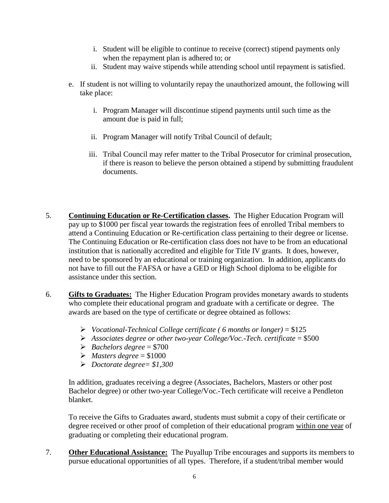- i. Student will be eligible to continue to receive (correct) stipend payments only when the repayment plan is adhered to; or
- ii. Student may waive stipends while attending school until repayment is satisfied.
- e. If student is not willing to voluntarily repay the unauthorized amount, the following will take place:
	- i. Program Manager will discontinue stipend payments until such time as the amount due is paid in full;
	- ii. Program Manager will notify Tribal Council of default;
	- iii. Tribal Council may refer matter to the Tribal Prosecutor for criminal prosecution, if there is reason to believe the person obtained a stipend by submitting fraudulent documents.
- 5. **Continuing Education or Re-Certification classes.** The Higher Education Program will pay up to \$1000 per fiscal year towards the registration fees of enrolled Tribal members to attend a Continuing Education or Re-certification class pertaining to their degree or license. The Continuing Education or Re-certification class does not have to be from an educational institution that is nationally accredited and eligible for Title IV grants. It does, however, need to be sponsored by an educational or training organization. In addition, applicants do not have to fill out the FAFSA or have a GED or High School diploma to be eligible for assistance under this section.
- 6. **Gifts to Graduates:** The Higher Education Program provides monetary awards to students who complete their educational program and graduate with a certificate or degree. The awards are based on the type of certificate or degree obtained as follows:
	- *Vocational-Technical College certificate ( 6 months or longer)* = \$125
	- *Associates degree or other two-year College/Voc.-Tech. certificate* = \$500
	- *Bachelors degree* = \$700
	- $\blacktriangleright$  *Masters degree* = \$1000
	- *Doctorate degree= \$1,300*

In addition, graduates receiving a degree (Associates, Bachelors, Masters or other post Bachelor degree) or other two-year College/Voc.-Tech certificate will receive a Pendleton blanket.

To receive the Gifts to Graduates award, students must submit a copy of their certificate or degree received or other proof of completion of their educational program within one year of graduating or completing their educational program.

7. **Other Educational Assistance:** The Puyallup Tribe encourages and supports its members to pursue educational opportunities of all types. Therefore, if a student/tribal member would